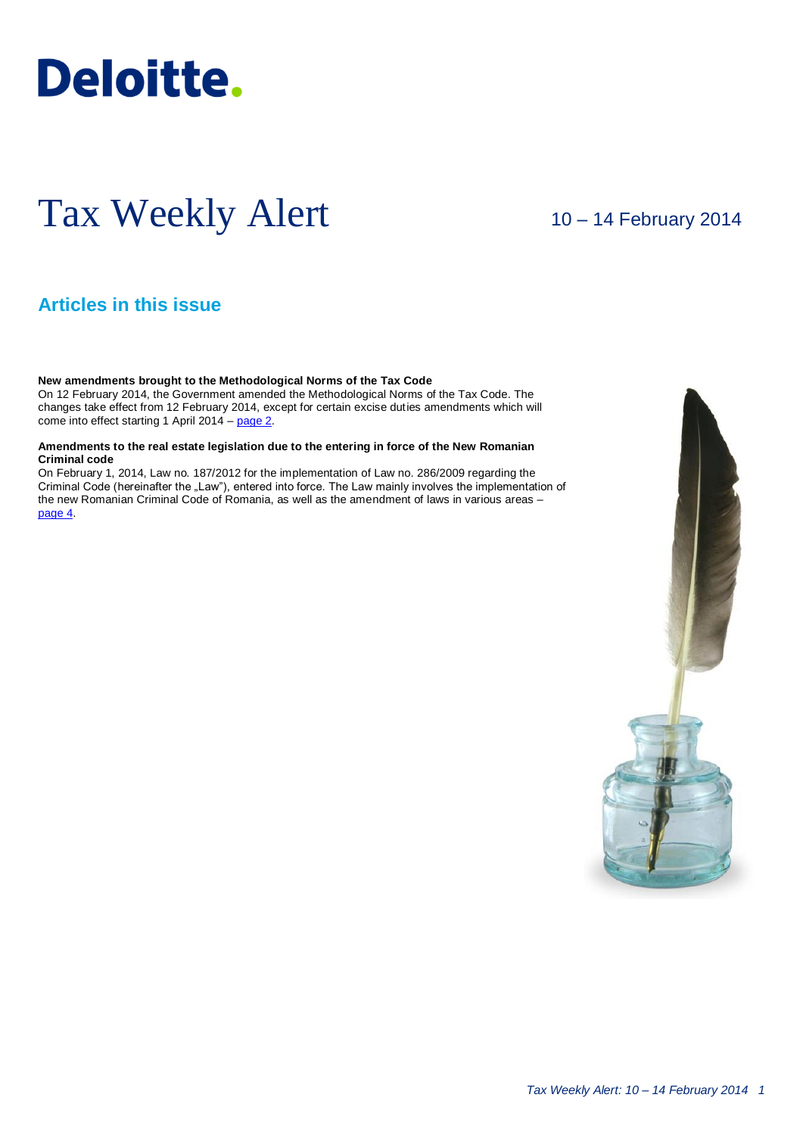# **Deloitte.**

## Tax Weekly Alert

10 – 14 February 2014

## **Articles in this issue**

**New amendments brought to the Methodological Norms of the Tax Code**

On 12 February 2014, the Government amended the Methodological Norms of the Tax Code. The changes take effect from 12 February 2014, except for certain excise duties amendments which will come into effect starting 1 April 2014 – [page 2.](#page-1-0)

#### **Amendments to the real estate legislation due to the entering in force of the New Romanian Criminal code**

On February 1, 2014, Law no. 187/2012 for the implementation of Law no. 286/2009 regarding the Criminal Code (hereinafter the "Law"), entered into force. The Law mainly involves the implementation of the new Romanian Criminal Code of Romania, as well as the amendment of laws in various areas – [page 4.](#page-3-0)

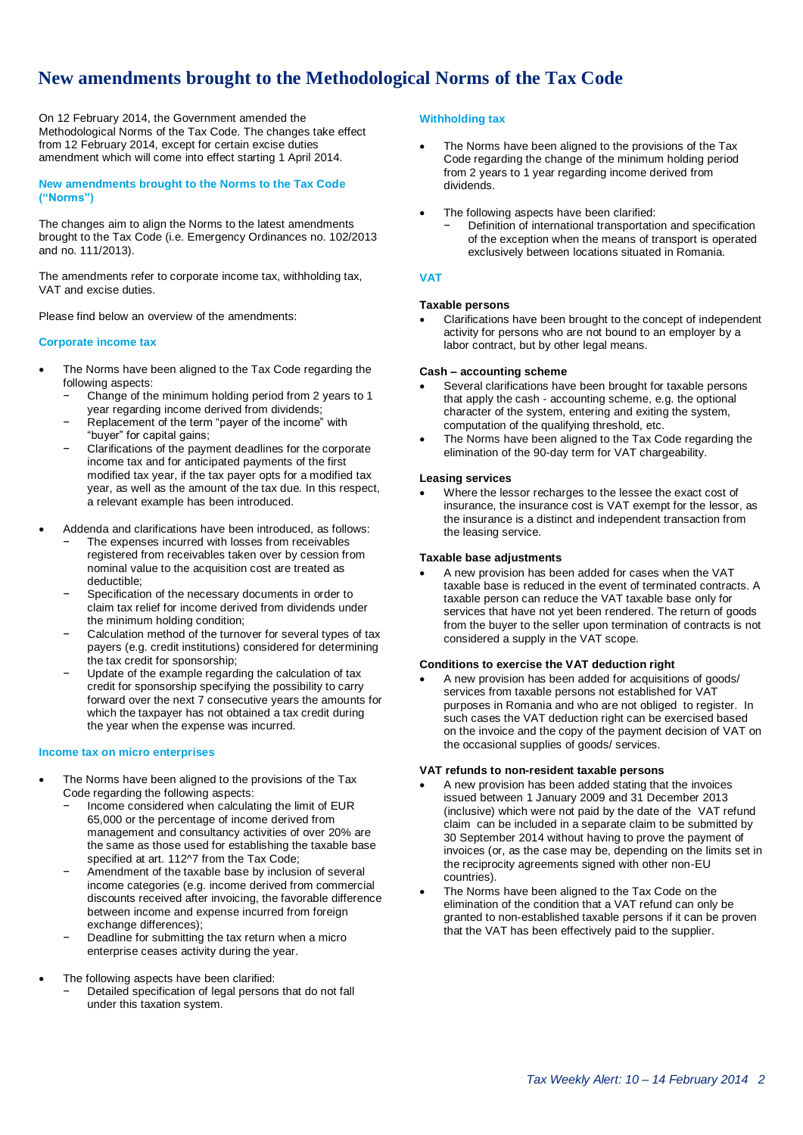## <span id="page-1-0"></span>**New amendments brought to the Methodological Norms of the Tax Code**

On 12 February 2014, the Government amended the Methodological Norms of the Tax Code. The changes take effect from 12 February 2014, except for certain excise duties amendment which will come into effect starting 1 April 2014.

**New amendments brought to the Norms to the Tax Code ("Norms")**

The changes aim to align the Norms to the latest amendments brought to the Tax Code (i.e. Emergency Ordinances no. 102/2013 and no. 111/2013).

The amendments refer to corporate income tax, withholding tax, VAT and excise duties.

Please find below an overview of the amendments:

#### **Corporate income tax**

- The Norms have been aligned to the Tax Code regarding the following aspects:
	- Change of the minimum holding period from 2 years to 1 year regarding income derived from dividends;
	- Replacement of the term "payer of the income" with "buyer" for capital gains;
	- − Clarifications of the payment deadlines for the corporate income tax and for anticipated payments of the first modified tax year, if the tax payer opts for a modified tax year, as well as the amount of the tax due. In this respect, a relevant example has been introduced.
- Addenda and clarifications have been introduced, as follows:
	- The expenses incurred with losses from receivables registered from receivables taken over by cession from nominal value to the acquisition cost are treated as deductible;
	- Specification of the necessary documents in order to claim tax relief for income derived from dividends under the minimum holding condition;
	- Calculation method of the turnover for several types of tax payers (e.g. credit institutions) considered for determining the tax credit for sponsorship;
	- Update of the example regarding the calculation of tax credit for sponsorship specifying the possibility to carry forward over the next 7 consecutive years the amounts for which the taxpayer has not obtained a tax credit during the year when the expense was incurred.

#### **Income tax on micro enterprises**

- The Norms have been aligned to the provisions of the Tax Code regarding the following aspects:
	- − Income considered when calculating the limit of EUR 65,000 or the percentage of income derived from management and consultancy activities of over 20% are the same as those used for establishing the taxable base specified at art. 112^7 from the Tax Code;
	- Amendment of the taxable base by inclusion of several income categories (e.g. income derived from commercial discounts received after invoicing, the favorable difference between income and expense incurred from foreign exchange differences);
	- Deadline for submitting the tax return when a micro enterprise ceases activity during the year.
- The following aspects have been clarified:
	- − Detailed specification of legal persons that do not fall under this taxation system.

#### **Withholding tax**

- The Norms have been aligned to the provisions of the Tax Code regarding the change of the minimum holding period from 2 years to 1 year regarding income derived from dividends.
- The following aspects have been clarified: Definition of international transportation and specification of the exception when the means of transport is operated exclusively between locations situated in Romania.

#### **VAT**

#### **Taxable persons**

 Clarifications have been brought to the concept of independent activity for persons who are not bound to an employer by a labor contract, but by other legal means.

#### **Cash – accounting scheme**

- Several clarifications have been brought for taxable persons that apply the cash - accounting scheme, e.g. the optional character of the system, entering and exiting the system, computation of the qualifying threshold, etc.
- The Norms have been aligned to the Tax Code regarding the elimination of the 90-day term for VAT chargeability.

#### **Leasing services**

 Where the lessor recharges to the lessee the exact cost of insurance, the insurance cost is VAT exempt for the lessor, as the insurance is a distinct and independent transaction from the leasing service.

#### **Taxable base adjustments**

 A new provision has been added for cases when the VAT taxable base is reduced in the event of terminated contracts. A taxable person can reduce the VAT taxable base only for services that have not yet been rendered. The return of goods from the buyer to the seller upon termination of contracts is not considered a supply in the VAT scope.

#### **Conditions to exercise the VAT deduction right**

 A new provision has been added for acquisitions of goods/ services from taxable persons not established for VAT purposes in Romania and who are not obliged to register. In such cases the VAT deduction right can be exercised based on the invoice and the copy of the payment decision of VAT on the occasional supplies of goods/ services.

#### **VAT refunds to non-resident taxable persons**

- A new provision has been added stating that the invoices issued between 1 January 2009 and 31 December 2013 (inclusive) which were not paid by the date of the VAT refund claim can be included in a separate claim to be submitted by 30 September 2014 without having to prove the payment of invoices (or, as the case may be, depending on the limits set in the reciprocity agreements signed with other non-EU countries).
- The Norms have been aligned to the Tax Code on the elimination of the condition that a VAT refund can only be granted to non-established taxable persons if it can be proven that the VAT has been effectively paid to the supplier.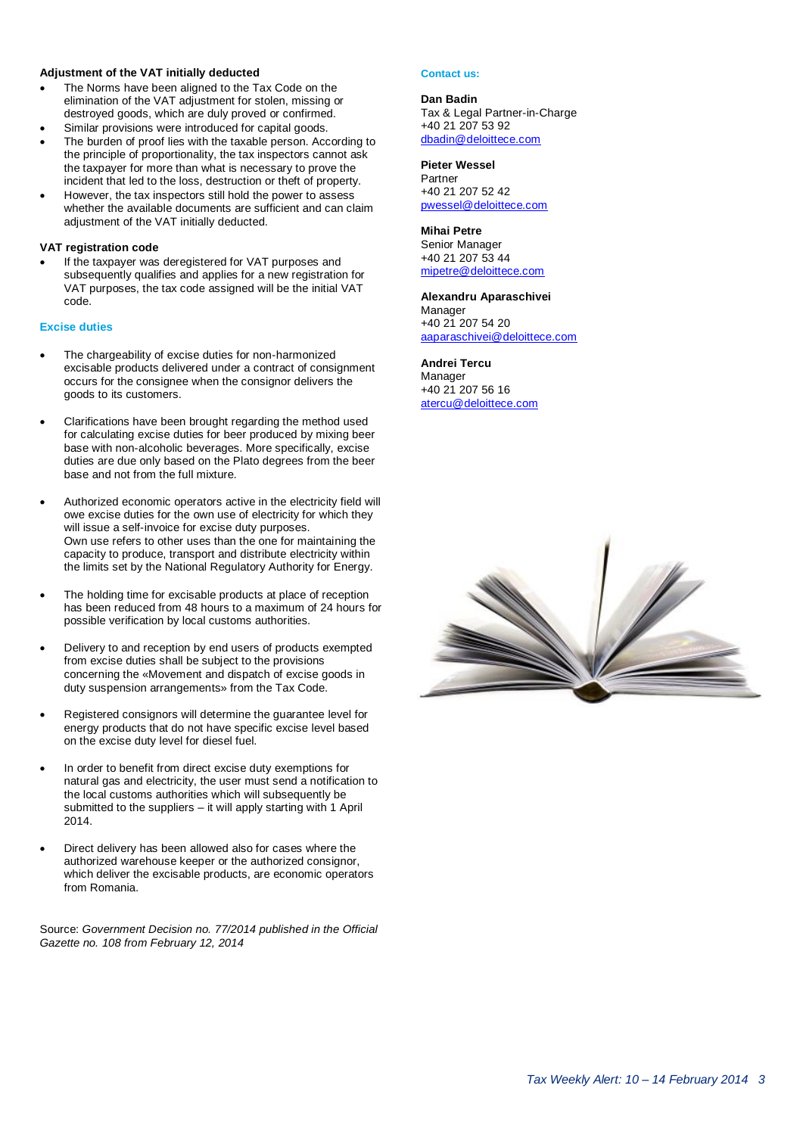#### **Adjustment of the VAT initially deducted**

- The Norms have been aligned to the Tax Code on the elimination of the VAT adjustment for stolen, missing or destroyed goods, which are duly proved or confirmed.
- Similar provisions were introduced for capital goods. The burden of proof lies with the taxable person. According to
- the principle of proportionality, the tax inspectors cannot ask the taxpayer for more than what is necessary to prove the incident that led to the loss, destruction or theft of property.
- However, the tax inspectors still hold the power to assess whether the available documents are sufficient and can claim adjustment of the VAT initially deducted.

#### **VAT registration code**

 If the taxpayer was deregistered for VAT purposes and subsequently qualifies and applies for a new registration for VAT purposes, the tax code assigned will be the initial VAT code.

#### **Excise duties**

- The chargeability of excise duties for non-harmonized excisable products delivered under a contract of consignment occurs for the consignee when the consignor delivers the goods to its customers.
- Clarifications have been brought regarding the method used for calculating excise duties for beer produced by mixing beer base with non-alcoholic beverages. More specifically, excise duties are due only based on the Plato degrees from the beer base and not from the full mixture.
- Authorized economic operators active in the electricity field will owe excise duties for the own use of electricity for which they will issue a self-invoice for excise duty purposes. Own use refers to other uses than the one for maintaining the capacity to produce, transport and distribute electricity within the limits set by the National Regulatory Authority for Energy.
- The holding time for excisable products at place of reception has been reduced from 48 hours to a maximum of 24 hours for possible verification by local customs authorities.
- Delivery to and reception by end users of products exempted from excise duties shall be subject to the provisions concerning the «Movement and dispatch of excise goods in duty suspension arrangements» from the Tax Code.
- Registered consignors will determine the guarantee level for energy products that do not have specific excise level based on the excise duty level for diesel fuel.
- In order to benefit from direct excise duty exemptions for natural gas and electricity, the user must send a notification to the local customs authorities which will subsequently be submitted to the suppliers – it will apply starting with 1 April 2014.
- Direct delivery has been allowed also for cases where the authorized warehouse keeper or the authorized consignor, which deliver the excisable products, are economic operators from Romania.

Source: *Government Decision no. 77/2014 published in the Official Gazette no. 108 from February 12, 2014*

#### **Contact us:**

#### **Dan Badin** Tax & Legal Partner-in-Charge +40 21 207 53 92 [dbadin@deloittece.com](mailto:dbadin@deloittece.com)

#### **Pieter Wessel**

Partner +40 21 207 52 42 [pwessel@deloittece.com](mailto:pwessel@deloittece.com)

#### **Mihai Petre**

Senior Manager +40 21 207 53 44 [mipetre@deloittece.com](mailto:mipetre@deloittece.com)

#### **Alexandru Aparaschivei**

Manager +40 21 207 54 20 [aaparaschivei@deloittece.com](mailto:aaparaschivei@deloittece.com)

#### **Andrei Tercu**

Manager +40 21 207 56 16 [atercu@deloittece.com](mailto:atercu@deloittece.com)

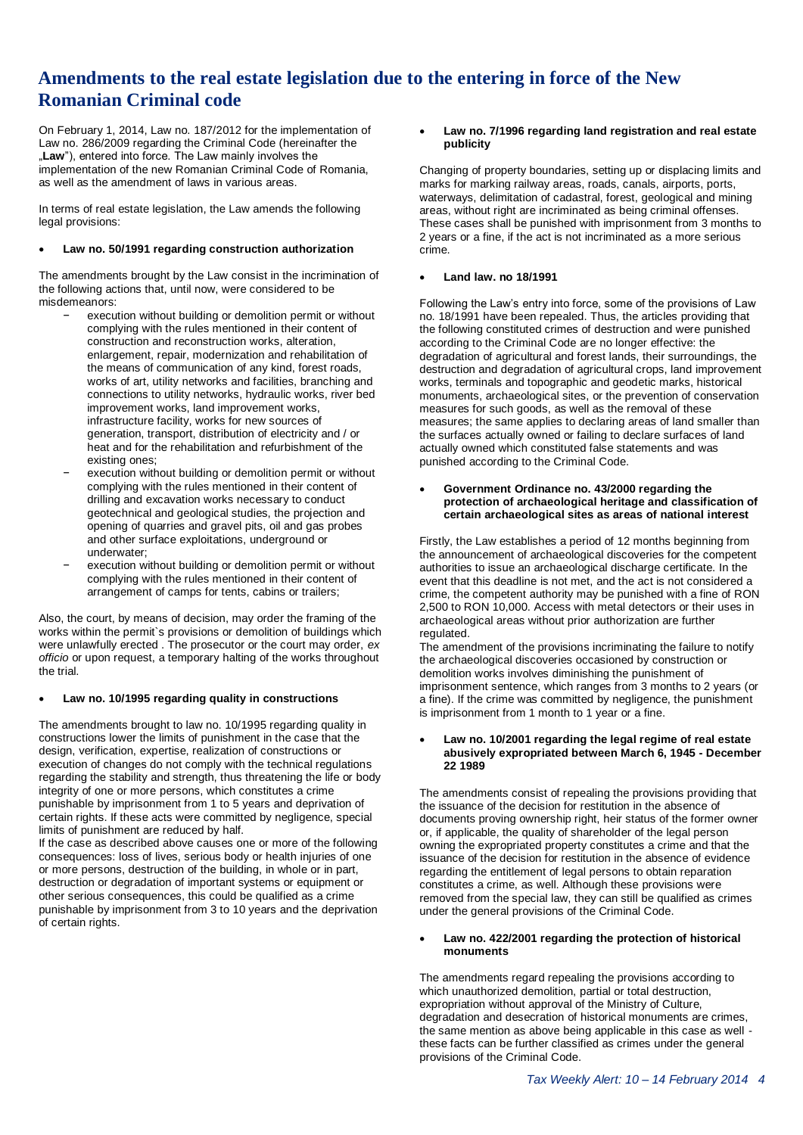### **Amendments to the real estate legislation due to the entering in force of the New Romanian Criminal code**

On February 1, 2014, Law no. 187/2012 for the implementation of Law no. 286/2009 regarding the Criminal Code (hereinafter the "Law"), entered into force. The Law mainly involves the implementation of the new Romanian Criminal Code of Romania, as well as the amendment of laws in various areas.

In terms of real estate legislation, the Law amends the following legal provisions:

#### **Law no. 50/1991 regarding construction authorization**

The amendments brought by the Law consist in the incrimination of the following actions that, until now, were considered to be misdemeanors:

- execution without building or demolition permit or without complying with the rules mentioned in their content of construction and reconstruction works, alteration, enlargement, repair, modernization and rehabilitation of the means of communication of any kind, forest roads, works of art, utility networks and facilities, branching and connections to utility networks, hydraulic works, river bed improvement works, land improvement works, infrastructure facility, works for new sources of generation, transport, distribution of electricity and / or heat and for the rehabilitation and refurbishment of the existing ones;
- execution without building or demolition permit or without complying with the rules mentioned in their content of drilling and excavation works necessary to conduct geotechnical and geological studies, the projection and opening of quarries and gravel pits, oil and gas probes and other surface exploitations, underground or underwater;
- execution without building or demolition permit or without complying with the rules mentioned in their content of arrangement of camps for tents, cabins or trailers;

Also, the court, by means of decision, may order the framing of the works within the permit`s provisions or demolition of buildings which were unlawfully erected . The prosecutor or the court may order, *ex officio* or upon request, a temporary halting of the works throughout the trial.

#### **Law no. 10/1995 regarding quality in constructions**

The amendments brought to law no. 10/1995 regarding quality in constructions lower the limits of punishment in the case that the design, verification, expertise, realization of constructions or execution of changes do not comply with the technical regulations regarding the stability and strength, thus threatening the life or body integrity of one or more persons, which constitutes a crime punishable by imprisonment from 1 to 5 years and deprivation of certain rights. If these acts were committed by negligence, special limits of punishment are reduced by half.

If the case as described above causes one or more of the following consequences: loss of lives, serious body or health injuries of one or more persons, destruction of the building, in whole or in part, destruction or degradation of important systems or equipment or other serious consequences, this could be qualified as a crime punishable by imprisonment from 3 to 10 years and the deprivation of certain rights.

#### <span id="page-3-0"></span> **Law no. 7/1996 regarding land registration and real estate publicity**

Changing of property boundaries, setting up or displacing limits and marks for marking railway areas, roads, canals, airports, ports, waterways, delimitation of cadastral, forest, geological and mining areas, without right are incriminated as being criminal offenses. These cases shall be punished with imprisonment from 3 months to 2 years or a fine, if the act is not incriminated as a more serious crime.

#### **Land law. no 18/1991**

Following the Law's entry into force, some of the provisions of Law no. 18/1991 have been repealed. Thus, the articles providing that the following constituted crimes of destruction and were punished according to the Criminal Code are no longer effective: the degradation of agricultural and forest lands, their surroundings, the destruction and degradation of agricultural crops, land improvement works, terminals and topographic and geodetic marks, historical monuments, archaeological sites, or the prevention of conservation measures for such goods, as well as the removal of these measures; the same applies to declaring areas of land smaller than the surfaces actually owned or failing to declare surfaces of land actually owned which constituted false statements and was punished according to the Criminal Code.

#### **Government Ordinance no. 43/2000 regarding the protection of archaeological heritage and classification of certain archaeological sites as areas of national interest**

Firstly, the Law establishes a period of 12 months beginning from the announcement of archaeological discoveries for the competent authorities to issue an archaeological discharge certificate. In the event that this deadline is not met, and the act is not considered a crime, the competent authority may be punished with a fine of RON 2,500 to RON 10,000. Access with metal detectors or their uses in archaeological areas without prior authorization are further regulated.

The amendment of the provisions incriminating the failure to notify the archaeological discoveries occasioned by construction or demolition works involves diminishing the punishment of imprisonment sentence, which ranges from 3 months to 2 years (or a fine). If the crime was committed by negligence, the punishment is imprisonment from 1 month to 1 year or a fine.

#### **Law no. 10/2001 regarding the legal regime of real estate abusively expropriated between March 6, 1945 - December 22 1989**

The amendments consist of repealing the provisions providing that the issuance of the decision for restitution in the absence of documents proving ownership right, heir status of the former owner or, if applicable, the quality of shareholder of the legal person owning the expropriated property constitutes a crime and that the issuance of the decision for restitution in the absence of evidence regarding the entitlement of legal persons to obtain reparation constitutes a crime, as well. Although these provisions were removed from the special law, they can still be qualified as crimes under the general provisions of the Criminal Code.

#### **Law no. 422/2001 regarding the protection of historical monuments**

The amendments regard repealing the provisions according to which unauthorized demolition, partial or total destruction, expropriation without approval of the Ministry of Culture, degradation and desecration of historical monuments are crimes, the same mention as above being applicable in this case as well these facts can be further classified as crimes under the general provisions of the Criminal Code.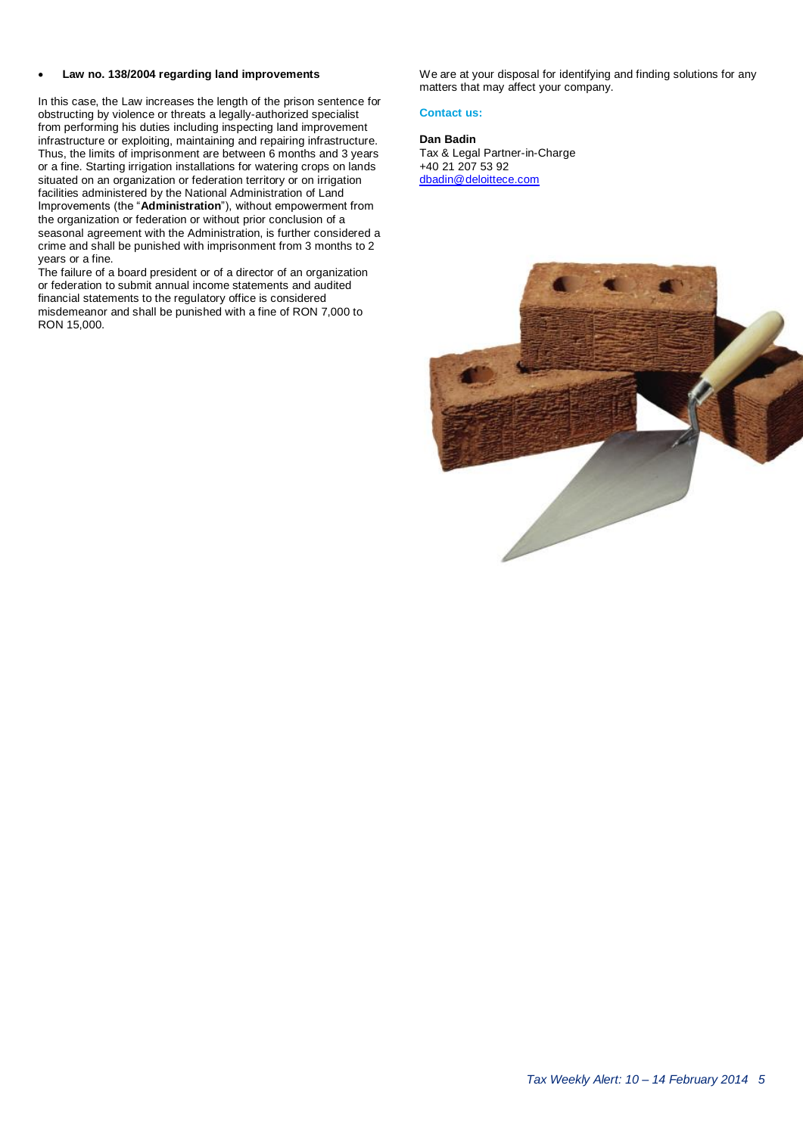#### **Law no. 138/2004 regarding land improvements**

In this case, the Law increases the length of the prison sentence for obstructing by violence or threats a legally-authorized specialist from performing his duties including inspecting land improvement infrastructure or exploiting, maintaining and repairing infrastructure. Thus, the limits of imprisonment are between 6 months and 3 years or a fine. Starting irrigation installations for watering crops on lands situated on an organization or federation territory or on irrigation facilities administered by the National Administration of Land Improvements (the "**Administration**"), without empowerment from the organization or federation or without prior conclusion of a seasonal agreement with the Administration, is further considered a crime and shall be punished with imprisonment from 3 months to 2 years or a fine.

The failure of a board president or of a director of an organization or federation to submit annual income statements and audited financial statements to the regulatory office is considered misdemeanor and shall be punished with a fine of RON 7,000 to RON 15,000.

We are at your disposal for identifying and finding solutions for any matters that may affect your company.

#### **Contact us:**

**Dan Badin** Tax & Legal Partner-in-Charge +40 21 207 53 92 [dbadin@deloittece.com](mailto:dbadin@deloittece.com)